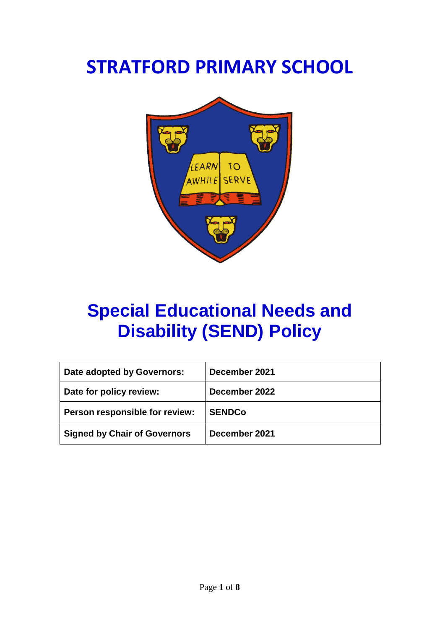# **STRATFORD PRIMARY SCHOOL**



# **Special Educational Needs and Disability (SEND) Policy**

| Date adopted by Governors:          | December 2021 |
|-------------------------------------|---------------|
| Date for policy review:             | December 2022 |
| Person responsible for review:      | <b>SENDCo</b> |
| <b>Signed by Chair of Governors</b> | December 2021 |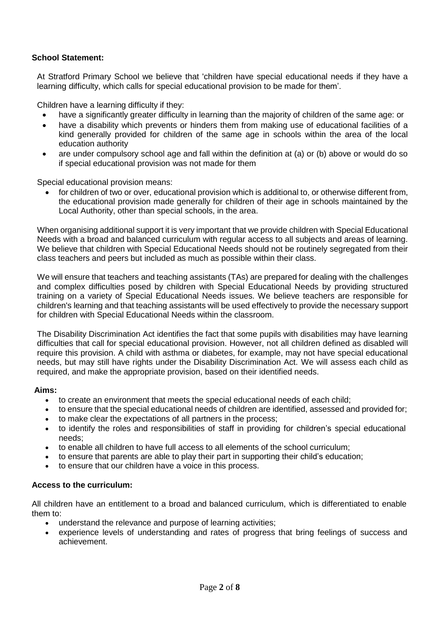### **School Statement:**

At Stratford Primary School we believe that 'children have special educational needs if they have a learning difficulty, which calls for special educational provision to be made for them'.

Children have a learning difficulty if they:

- have a significantly greater difficulty in learning than the majority of children of the same age: or
- have a disability which prevents or hinders them from making use of educational facilities of a kind generally provided for children of the same age in schools within the area of the local education authority
- are under compulsory school age and fall within the definition at (a) or (b) above or would do so if special educational provision was not made for them

Special educational provision means:

• for children of two or over, educational provision which is additional to, or otherwise different from, the educational provision made generally for children of their age in schools maintained by the Local Authority, other than special schools, in the area.

When organising additional support it is very important that we provide children with Special Educational Needs with a broad and balanced curriculum with regular access to all subjects and areas of learning. We believe that children with Special Educational Needs should not be routinely segregated from their class teachers and peers but included as much as possible within their class.

We will ensure that teachers and teaching assistants (TAs) are prepared for dealing with the challenges and complex difficulties posed by children with Special Educational Needs by providing structured training on a variety of Special Educational Needs issues. We believe teachers are responsible for children's learning and that teaching assistants will be used effectively to provide the necessary support for children with Special Educational Needs within the classroom.

The Disability Discrimination Act identifies the fact that some pupils with disabilities may have learning difficulties that call for special educational provision. However, not all children defined as disabled will require this provision. A child with asthma or diabetes, for example, may not have special educational needs, but may still have rights under the Disability Discrimination Act. We will assess each child as required, and make the appropriate provision, based on their identified needs.

#### **Aims:**

- to create an environment that meets the special educational needs of each child;
- to ensure that the special educational needs of children are identified, assessed and provided for;
- to make clear the expectations of all partners in the process;
- to identify the roles and responsibilities of staff in providing for children's special educational needs;
- to enable all children to have full access to all elements of the school curriculum;
- to ensure that parents are able to play their part in supporting their child's education;
- to ensure that our children have a voice in this process.

#### **Access to the curriculum:**

All children have an entitlement to a broad and balanced curriculum, which is differentiated to enable them to:

- understand the relevance and purpose of learning activities;
- experience levels of understanding and rates of progress that bring feelings of success and achievement.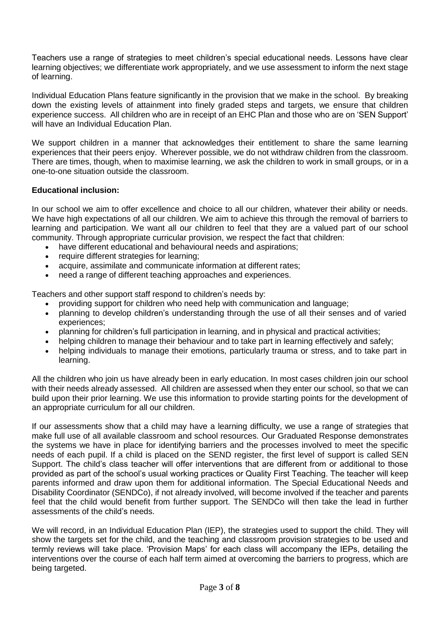Teachers use a range of strategies to meet children's special educational needs. Lessons have clear learning objectives; we differentiate work appropriately, and we use assessment to inform the next stage of learning.

Individual Education Plans feature significantly in the provision that we make in the school. By breaking down the existing levels of attainment into finely graded steps and targets, we ensure that children experience success. All children who are in receipt of an EHC Plan and those who are on 'SEN Support' will have an Individual Education Plan.

We support children in a manner that acknowledges their entitlement to share the same learning experiences that their peers enjoy. Wherever possible, we do not withdraw children from the classroom. There are times, though, when to maximise learning, we ask the children to work in small groups, or in a one-to-one situation outside the classroom.

# **Educational inclusion:**

In our school we aim to offer excellence and choice to all our children, whatever their ability or needs. We have high expectations of all our children. We aim to achieve this through the removal of barriers to learning and participation. We want all our children to feel that they are a valued part of our school community. Through appropriate curricular provision, we respect the fact that children:

- have different educational and behavioural needs and aspirations;
- require different strategies for learning;
- acquire, assimilate and communicate information at different rates;
- need a range of different teaching approaches and experiences.

Teachers and other support staff respond to children's needs by:

- providing support for children who need help with communication and language;
- planning to develop children's understanding through the use of all their senses and of varied experiences;
- planning for children's full participation in learning, and in physical and practical activities;
- helping children to manage their behaviour and to take part in learning effectively and safely;
- helping individuals to manage their emotions, particularly trauma or stress, and to take part in learning.

All the children who join us have already been in early education. In most cases children join our school with their needs already assessed. All children are assessed when they enter our school, so that we can build upon their prior learning. We use this information to provide starting points for the development of an appropriate curriculum for all our children.

If our assessments show that a child may have a learning difficulty, we use a range of strategies that make full use of all available classroom and school resources. Our Graduated Response demonstrates the systems we have in place for identifying barriers and the processes involved to meet the specific needs of each pupil. If a child is placed on the SEND register, the first level of support is called SEN Support. The child's class teacher will offer interventions that are different from or additional to those provided as part of the school's usual working practices or Quality First Teaching. The teacher will keep parents informed and draw upon them for additional information. The Special Educational Needs and Disability Coordinator (SENDCo), if not already involved, will become involved if the teacher and parents feel that the child would benefit from further support. The SENDCo will then take the lead in further assessments of the child's needs.

We will record, in an Individual Education Plan (IEP), the strategies used to support the child. They will show the targets set for the child, and the teaching and classroom provision strategies to be used and termly reviews will take place. 'Provision Maps' for each class will accompany the IEPs, detailing the interventions over the course of each half term aimed at overcoming the barriers to progress, which are being targeted.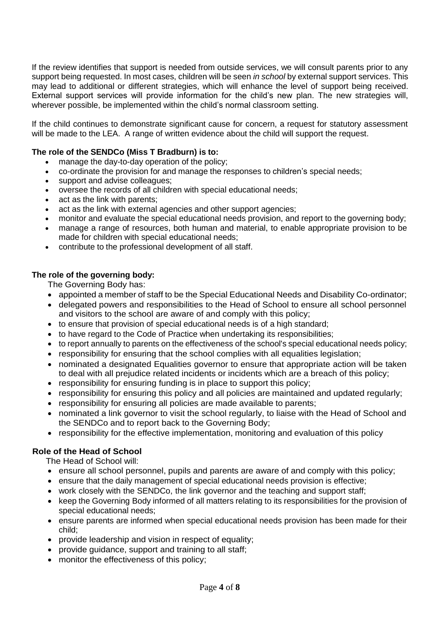If the review identifies that support is needed from outside services, we will consult parents prior to any support being requested. In most cases, children will be seen *in school* by external support services. This may lead to additional or different strategies, which will enhance the level of support being received. External support services will provide information for the child's new plan. The new strategies will, wherever possible, be implemented within the child's normal classroom setting.

If the child continues to demonstrate significant cause for concern, a request for statutory assessment will be made to the LEA. A range of written evidence about the child will support the request.

### **The role of the SENDCo (Miss T Bradburn) is to:**

- manage the day-to-day operation of the policy;
- co-ordinate the provision for and manage the responses to children's special needs;
- support and advise colleagues;
- oversee the records of all children with special educational needs;
- act as the link with parents;
- act as the link with external agencies and other support agencies;
- monitor and evaluate the special educational needs provision, and report to the governing body;
- manage a range of resources, both human and material, to enable appropriate provision to be made for children with special educational needs;
- contribute to the professional development of all staff.

#### **The role of the governing body:**

The Governing Body has:

- appointed a member of staff to be the Special Educational Needs and Disability Co-ordinator;
- delegated powers and responsibilities to the Head of School to ensure all school personnel and visitors to the school are aware of and comply with this policy;
- to ensure that provision of special educational needs is of a high standard;
- to have regard to the Code of Practice when undertaking its responsibilities;
- to report annually to parents on the effectiveness of the school's special educational needs policy;
- responsibility for ensuring that the school complies with all equalities legislation;
- nominated a designated Equalities governor to ensure that appropriate action will be taken to deal with all prejudice related incidents or incidents which are a breach of this policy;
- responsibility for ensuring funding is in place to support this policy;
- responsibility for ensuring this policy and all policies are maintained and updated regularly;
- responsibility for ensuring all policies are made available to parents;
- nominated a link governor to visit the school regularly, to liaise with the Head of School and the SENDCo and to report back to the Governing Body;
- responsibility for the effective implementation, monitoring and evaluation of this policy

# **Role of the Head of School**

The Head of School will:

- ensure all school personnel, pupils and parents are aware of and comply with this policy;
- ensure that the daily management of special educational needs provision is effective;
- work closely with the SENDCo, the link governor and the teaching and support staff;
- keep the Governing Body informed of all matters relating to its responsibilities for the provision of special educational needs;
- ensure parents are informed when special educational needs provision has been made for their child;
- provide leadership and vision in respect of equality;
- provide guidance, support and training to all staff;
- monitor the effectiveness of this policy;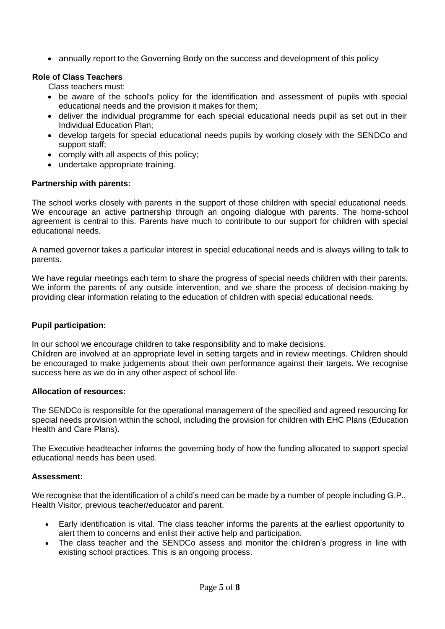• annually report to the Governing Body on the success and development of this policy

# **Role of Class Teachers**

Class teachers must:

- be aware of the school's policy for the identification and assessment of pupils with special educational needs and the provision it makes for them;
- deliver the individual programme for each special educational needs pupil as set out in their Individual Education Plan;
- develop targets for special educational needs pupils by working closely with the SENDCo and support staff;
- comply with all aspects of this policy;
- undertake appropriate training.

# **Partnership with parents:**

The school works closely with parents in the support of those children with special educational needs. We encourage an active partnership through an ongoing dialogue with parents. The home-school agreement is central to this. Parents have much to contribute to our support for children with special educational needs.

A named governor takes a particular interest in special educational needs and is always willing to talk to parents.

We have regular meetings each term to share the progress of special needs children with their parents. We inform the parents of any outside intervention, and we share the process of decision-making by providing clear information relating to the education of children with special educational needs.

# **Pupil participation:**

In our school we encourage children to take responsibility and to make decisions.

Children are involved at an appropriate level in setting targets and in review meetings. Children should be encouraged to make judgements about their own performance against their targets. We recognise success here as we do in any other aspect of school life.

# **Allocation of resources:**

The SENDCo is responsible for the operational management of the specified and agreed resourcing for special needs provision within the school, including the provision for children with EHC Plans (Education Health and Care Plans).

The Executive headteacher informs the governing body of how the funding allocated to support special educational needs has been used.

#### **Assessment:**

We recognise that the identification of a child's need can be made by a number of people including G.P., Health Visitor, previous teacher/educator and parent.

- Early identification is vital. The class teacher informs the parents at the earliest opportunity to alert them to concerns and enlist their active help and participation.
- The class teacher and the SENDCo assess and monitor the children's progress in line with existing school practices. This is an ongoing process.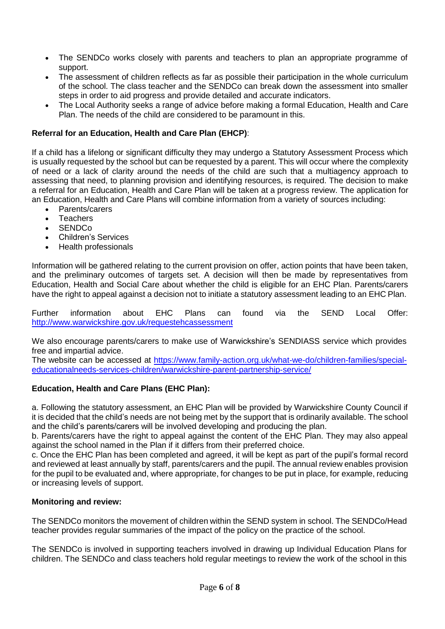- The SENDCo works closely with parents and teachers to plan an appropriate programme of support.
- The assessment of children reflects as far as possible their participation in the whole curriculum of the school. The class teacher and the SENDCo can break down the assessment into smaller steps in order to aid progress and provide detailed and accurate indicators.
- The Local Authority seeks a range of advice before making a formal Education, Health and Care Plan. The needs of the child are considered to be paramount in this.

### **Referral for an Education, Health and Care Plan (EHCP)**:

If a child has a lifelong or significant difficulty they may undergo a Statutory Assessment Process which is usually requested by the school but can be requested by a parent. This will occur where the complexity of need or a lack of clarity around the needs of the child are such that a multiagency approach to assessing that need, to planning provision and identifying resources, is required. The decision to make a referral for an Education, Health and Care Plan will be taken at a progress review. The application for an Education, Health and Care Plans will combine information from a variety of sources including:

- Parents/carers
- **Teachers**
- SENDCo
- Children's Services
- Health professionals

Information will be gathered relating to the current provision on offer, action points that have been taken, and the preliminary outcomes of targets set. A decision will then be made by representatives from Education, Health and Social Care about whether the child is eligible for an EHC Plan. Parents/carers have the right to appeal against a decision not to initiate a statutory assessment leading to an EHC Plan.

Further information about EHC Plans can found via the SEND Local Offer: <http://www.warwickshire.gov.uk/requestehcassessment>

We also encourage parents/carers to make use of Warwickshire's SENDIASS service which provides free and impartial advice.

The website can be accessed at [https://www.family-action.org.uk/what-we-do/children-families/special](https://www.family-action.org.uk/what-we-do/children-families/special-educationalneeds-services-children/warwickshire-parent-partnership-service/)[educationalneeds-services-children/warwickshire-parent-partnership-service/](https://www.family-action.org.uk/what-we-do/children-families/special-educationalneeds-services-children/warwickshire-parent-partnership-service/)

#### **Education, Health and Care Plans (EHC Plan):**

a. Following the statutory assessment, an EHC Plan will be provided by Warwickshire County Council if it is decided that the child's needs are not being met by the support that is ordinarily available. The school and the child's parents/carers will be involved developing and producing the plan.

b. Parents/carers have the right to appeal against the content of the EHC Plan. They may also appeal against the school named in the Plan if it differs from their preferred choice.

c. Once the EHC Plan has been completed and agreed, it will be kept as part of the pupil's formal record and reviewed at least annually by staff, parents/carers and the pupil. The annual review enables provision for the pupil to be evaluated and, where appropriate, for changes to be put in place, for example, reducing or increasing levels of support.

#### **Monitoring and review:**

The SENDCo monitors the movement of children within the SEND system in school. The SENDCo/Head teacher provides regular summaries of the impact of the policy on the practice of the school.

The SENDCo is involved in supporting teachers involved in drawing up Individual Education Plans for children. The SENDCo and class teachers hold regular meetings to review the work of the school in this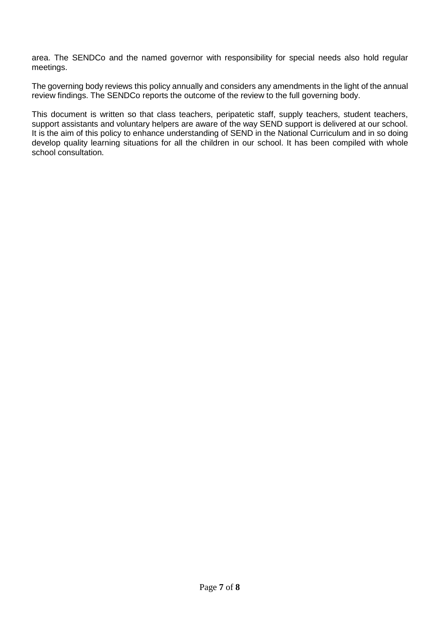area. The SENDCo and the named governor with responsibility for special needs also hold regular meetings.

The governing body reviews this policy annually and considers any amendments in the light of the annual review findings. The SENDCo reports the outcome of the review to the full governing body.

This document is written so that class teachers, peripatetic staff, supply teachers, student teachers, support assistants and voluntary helpers are aware of the way SEND support is delivered at our school. It is the aim of this policy to enhance understanding of SEND in the National Curriculum and in so doing develop quality learning situations for all the children in our school. It has been compiled with whole school consultation.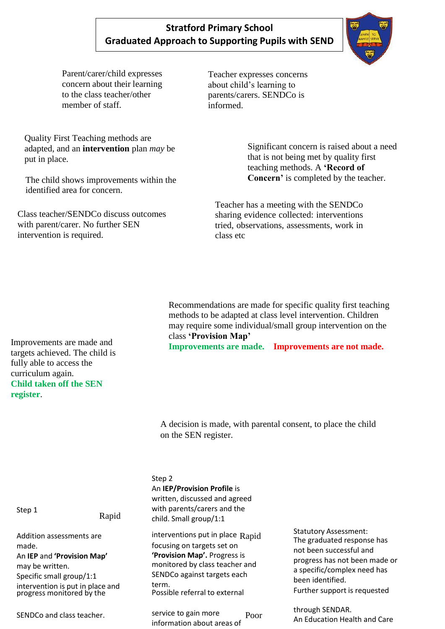# **Stratford Primary School Graduated Approach to Supporting Pupils with SEND**

Parent/carer/child expresses concern about their learning to the class teacher/other member of staff.

Quality First Teaching methods are adapted, and an **intervention** plan *may* be put in place.

The child shows improvements within the identified area for concern.

Class teacher/SENDCo discuss outcomes with parent/carer. No further SEN intervention is required.

Teacher expresses concerns about child's learning to parents/carers. SENDCo is informed.

> Significant concern is raised about a need that is not being met by quality first teaching methods. A **'Record of Concern'** is completed by the teacher.

Teacher has a meeting with the SENDCo sharing evidence collected: interventions tried, observations, assessments, work in class etc

Recommendations are made for specific quality first teaching methods to be adapted at class level intervention. Children may require some individual/small group intervention on the class **'Provision Map'**

**Improvements are made. Improvements are not made.**

A decision is made, with parental consent, to place the child on the SEN register.

Step 2

An **IEP/Provision Profile** is

written, discussed and agreed with parents/carers and the child. Small group/1:1

interventions put in place  $\text{Rand}$ focusing on targets set on **'Provision Map'.** Progress is monitored by class teacher and SENDCo against targets each term. Possible referral to external

information about areas of

Statutory Assessment: The graduated response has not been successful and progress has not been made or a specific/complex need has been identified. Further support is requested

through SENDAR.<br>Poor **An Education Host** An Education Health and Care

Improvements are made and targets achieved. The child is fully able to access the curriculum again. **Child taken off the SEN register**.

Step 1

Rapid

Addition assessments are made. An **IEP** and **'Provision Map'** may be written. Specific small group/1:1 intervention is put in place and progress monitored by the

SENDCo and class teacher. Service to gain more